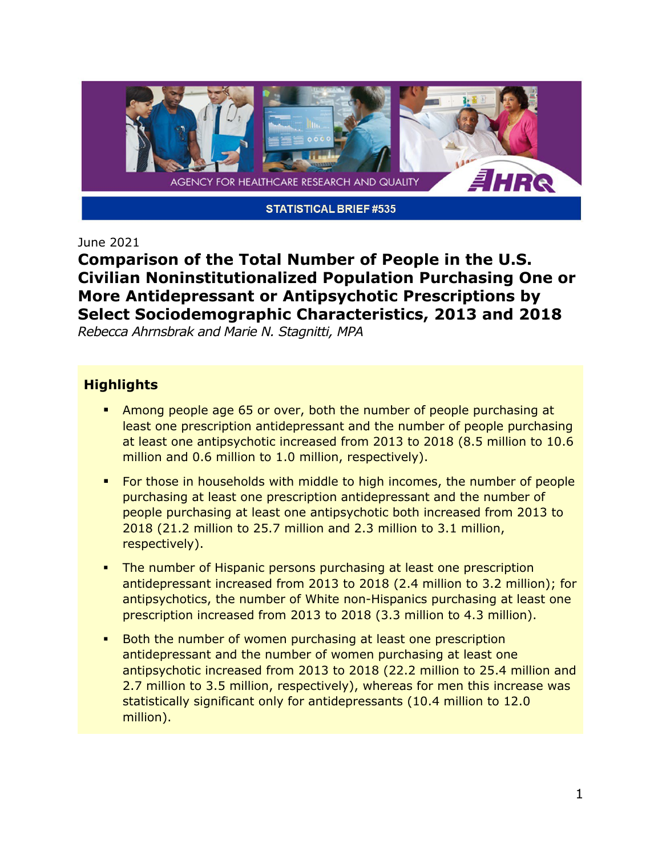

#### June 2021

**Comparison of the Total Number of People in the U.S. Civilian Noninstitutionalized Population Purchasing One or More Antidepressant or Antipsychotic Prescriptions by Select Sociodemographic Characteristics, 2013 and 2018**

*Rebecca Ahrnsbrak and Marie N. Stagnitti, MPA*

#### **Highlights**

- **Among people age 65 or over, both the number of people purchasing at** least one prescription antidepressant and the number of people purchasing at least one antipsychotic increased from 2013 to 2018 (8.5 million to 10.6 million and 0.6 million to 1.0 million, respectively).
- For those in households with middle to high incomes, the number of people purchasing at least one prescription antidepressant and the number of people purchasing at least one antipsychotic both increased from 2013 to 2018 (21.2 million to 25.7 million and 2.3 million to 3.1 million, respectively).
- The number of Hispanic persons purchasing at least one prescription antidepressant increased from 2013 to 2018 (2.4 million to 3.2 million); for antipsychotics, the number of White non-Hispanics purchasing at least one prescription increased from 2013 to 2018 (3.3 million to 4.3 million).
- Both the number of women purchasing at least one prescription antidepressant and the number of women purchasing at least one antipsychotic increased from 2013 to 2018 (22.2 million to 25.4 million and 2.7 million to 3.5 million, respectively), whereas for men this increase was statistically significant only for antidepressants (10.4 million to 12.0 million).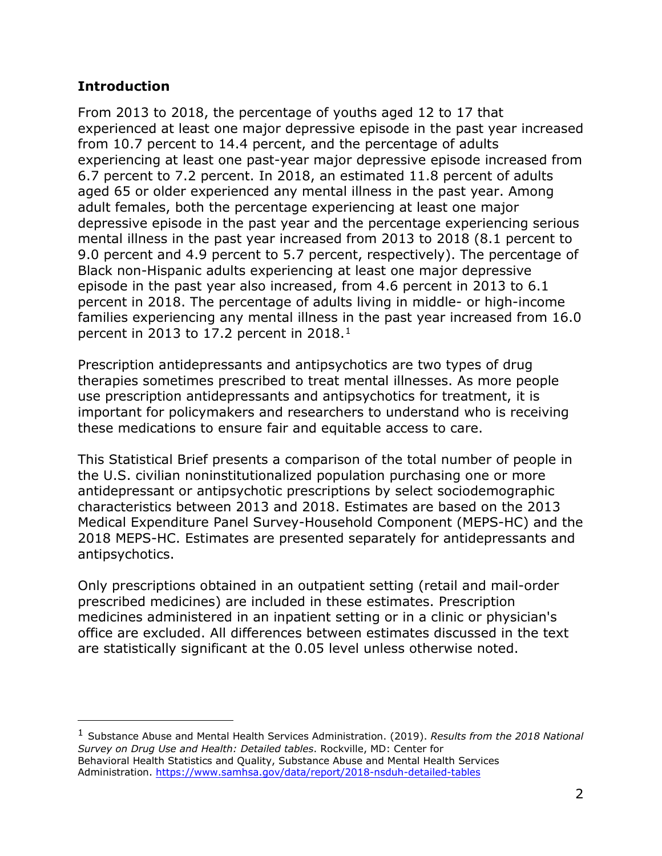## **Introduction**

From 2013 to 2018, the percentage of youths aged 12 to 17 that experienced at least one major depressive episode in the past year increased from 10.7 percent to 14.4 percent, and the percentage of adults experiencing at least one past-year major depressive episode increased from 6.7 percent to 7.2 percent. In 2018, an estimated 11.8 percent of adults aged 65 or older experienced any mental illness in the past year. Among adult females, both the percentage experiencing at least one major depressive episode in the past year and the percentage experiencing serious mental illness in the past year increased from 2013 to 2018 (8.1 percent to 9.0 percent and 4.9 percent to 5.7 percent, respectively). The percentage of Black non-Hispanic adults experiencing at least one major depressive episode in the past year also increased, from 4.6 percent in 2013 to 6.1 percent in 2018. The percentage of adults living in middle- or high-income families experiencing any mental illness in the past year increased from 16.0 percent in 2013 to 17.2 percent in 2018.<sup>1</sup>

Prescription antidepressants and antipsychotics are two types of drug therapies sometimes prescribed to treat mental illnesses. As more people use prescription antidepressants and antipsychotics for treatment, it is important for policymakers and researchers to understand who is receiving these medications to ensure fair and equitable access to care.

This Statistical Brief presents a comparison of the total number of people in the U.S. civilian noninstitutionalized population purchasing one or more antidepressant or antipsychotic prescriptions by select sociodemographic characteristics between 2013 and 2018. Estimates are based on the 2013 Medical Expenditure Panel Survey-Household Component (MEPS-HC) and the 2018 MEPS-HC. Estimates are presented separately for antidepressants and antipsychotics.

Only prescriptions obtained in an outpatient setting (retail and mail-order prescribed medicines) are included in these estimates. Prescription medicines administered in an inpatient setting or in a clinic or physician's office are excluded. All differences between estimates discussed in the text are statistically significant at the 0.05 level unless otherwise noted.

<span id="page-1-0"></span><sup>1</sup> Substance Abuse and Mental Health Services Administration. (2019). *Results from the 2018 National Survey on Drug Use and Health: Detailed tables*. Rockville, MD: Center for Behavioral Health Statistics and Quality, Substance Abuse and Mental Health Services Administration.<https://www.samhsa.gov/data/report/2018-nsduh-detailed-tables>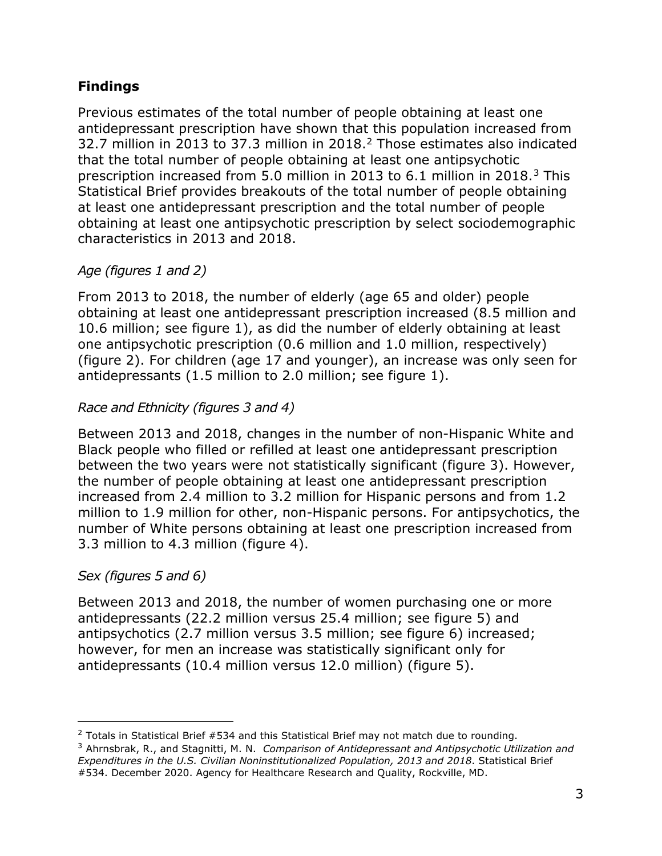# **Findings**

Previous estimates of the total number of people obtaining at least one antidepressant prescription have shown that this population increased from 32.7 million in 2013 to 37.3 million in 2018[.2](#page-2-0) Those estimates also indicated that the total number of people obtaining at least one antipsychotic prescription increased from 5.0 million in 2013 to 6.1 million in 2018.[3](#page-2-1) This Statistical Brief provides breakouts of the total number of people obtaining at least one antidepressant prescription and the total number of people obtaining at least one antipsychotic prescription by select sociodemographic characteristics in 2013 and 2018.

# *Age (figures 1 and 2)*

From 2013 to 2018, the number of elderly (age 65 and older) people obtaining at least one antidepressant prescription increased (8.5 million and 10.6 million; see figure 1), as did the number of elderly obtaining at least one antipsychotic prescription (0.6 million and 1.0 million, respectively) (figure 2). For children (age 17 and younger), an increase was only seen for antidepressants (1.5 million to 2.0 million; see figure 1).

# *Race and Ethnicity (figures 3 and 4)*

Between 2013 and 2018, changes in the number of non-Hispanic White and Black people who filled or refilled at least one antidepressant prescription between the two years were not statistically significant (figure 3). However, the number of people obtaining at least one antidepressant prescription increased from 2.4 million to 3.2 million for Hispanic persons and from 1.2 million to 1.9 million for other, non-Hispanic persons. For antipsychotics, the number of White persons obtaining at least one prescription increased from 3.3 million to 4.3 million (figure 4).

# *Sex (figures 5 and 6)*

Between 2013 and 2018, the number of women purchasing one or more antidepressants (22.2 million versus 25.4 million; see figure 5) and antipsychotics (2.7 million versus 3.5 million; see figure 6) increased; however, for men an increase was statistically significant only for antidepressants (10.4 million versus 12.0 million) (figure 5).

<span id="page-2-0"></span> $2$  Totals in Statistical Brief #534 and this Statistical Brief may not match due to rounding.

<span id="page-2-1"></span><sup>3</sup> Ahrnsbrak, R., and Stagnitti, M. N. *Comparison of Antidepressant and Antipsychotic Utilization and Expenditures in the U.S. Civilian Noninstitutionalized Population, 2013 and 2018*. Statistical Brief #534. December 2020. Agency for Healthcare Research and Quality, Rockville, MD.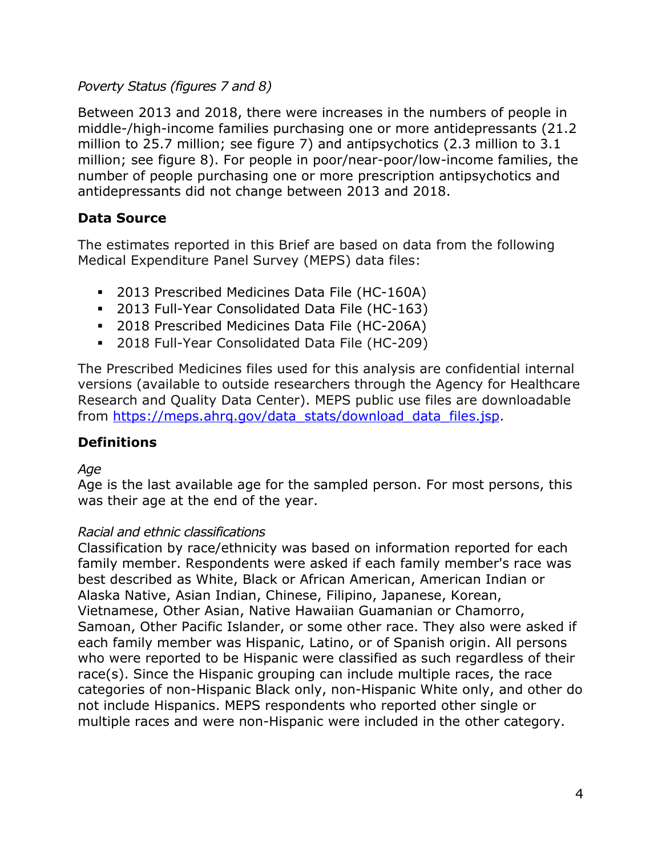## *Poverty Status (figures 7 and 8)*

Between 2013 and 2018, there were increases in the numbers of people in middle-/high-income families purchasing one or more antidepressants (21.2 million to 25.7 million; see figure 7) and antipsychotics (2.3 million to 3.1 million; see figure 8). For people in poor/near-poor/low-income families, the number of people purchasing one or more prescription antipsychotics and antidepressants did not change between 2013 and 2018.

# **Data Source**

The estimates reported in this Brief are based on data from the following Medical Expenditure Panel Survey (MEPS) data files:

- 2013 Prescribed Medicines Data File (HC-160A)
- 2013 Full-Year Consolidated Data File (HC-163)
- 2018 Prescribed Medicines Data File (HC-206A)
- 2018 Full-Year Consolidated Data File (HC-209)

The Prescribed Medicines files used for this analysis are confidential internal versions (available to outside researchers through the Agency for Healthcare Research and Quality Data Center). MEPS public use files are downloadable from [https://meps.ahrq.gov/data\\_stats/download\\_data\\_files.jsp.](https://meps.ahrq.gov/data_stats/download_data_files.jsp)

# **Definitions**

### *Age*

Age is the last available age for the sampled person. For most persons, this was their age at the end of the year.

### *Racial and ethnic classifications*

Classification by race/ethnicity was based on information reported for each family member. Respondents were asked if each family member's race was best described as White, Black or African American, American Indian or Alaska Native, Asian Indian, Chinese, Filipino, Japanese, Korean, Vietnamese, Other Asian, Native Hawaiian Guamanian or Chamorro, Samoan, Other Pacific Islander, or some other race. They also were asked if each family member was Hispanic, Latino, or of Spanish origin. All persons who were reported to be Hispanic were classified as such regardless of their race(s). Since the Hispanic grouping can include multiple races, the race categories of non-Hispanic Black only, non-Hispanic White only, and other do not include Hispanics. MEPS respondents who reported other single or multiple races and were non-Hispanic were included in the other category.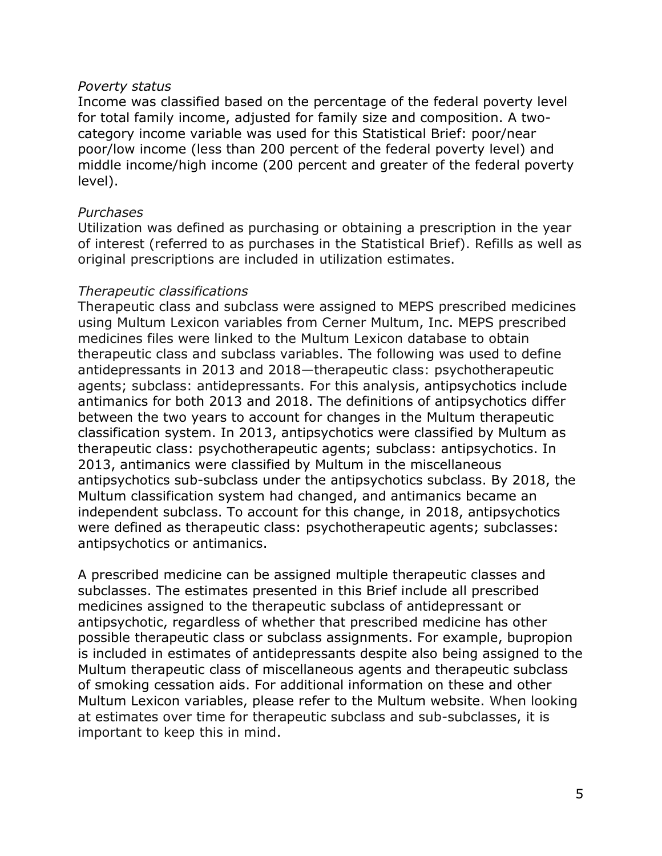#### *Poverty status*

Income was classified based on the percentage of the federal poverty level for total family income, adjusted for family size and composition. A twocategory income variable was used for this Statistical Brief: poor/near poor/low income (less than 200 percent of the federal poverty level) and middle income/high income (200 percent and greater of the federal poverty level).

### *Purchases*

Utilization was defined as purchasing or obtaining a prescription in the year of interest (referred to as purchases in the Statistical Brief). Refills as well as original prescriptions are included in utilization estimates.

#### *Therapeutic classifications*

Therapeutic class and subclass were assigned to MEPS prescribed medicines using Multum Lexicon variables from Cerner Multum, Inc. MEPS prescribed medicines files were linked to the Multum Lexicon database to obtain therapeutic class and subclass variables. The following was used to define antidepressants in 2013 and 2018—therapeutic class: psychotherapeutic agents; subclass: antidepressants. For this analysis, antipsychotics include antimanics for both 2013 and 2018. The definitions of antipsychotics differ between the two years to account for changes in the Multum therapeutic classification system. In 2013, antipsychotics were classified by Multum as therapeutic class: psychotherapeutic agents; subclass: antipsychotics. In 2013, antimanics were classified by Multum in the miscellaneous antipsychotics sub-subclass under the antipsychotics subclass. By 2018, the Multum classification system had changed, and antimanics became an independent subclass. To account for this change, in 2018, antipsychotics were defined as therapeutic class: psychotherapeutic agents; subclasses: antipsychotics or antimanics.

A prescribed medicine can be assigned multiple therapeutic classes and subclasses. The estimates presented in this Brief include all prescribed medicines assigned to the therapeutic subclass of antidepressant or antipsychotic, regardless of whether that prescribed medicine has other possible therapeutic class or subclass assignments. For example, bupropion is included in estimates of antidepressants despite also being assigned to the Multum therapeutic class of miscellaneous agents and therapeutic subclass of smoking cessation aids. For additional information on these and other Multum Lexicon variables, please refer to the Multum website. When looking at estimates over time for therapeutic subclass and sub-subclasses, it is important to keep this in mind.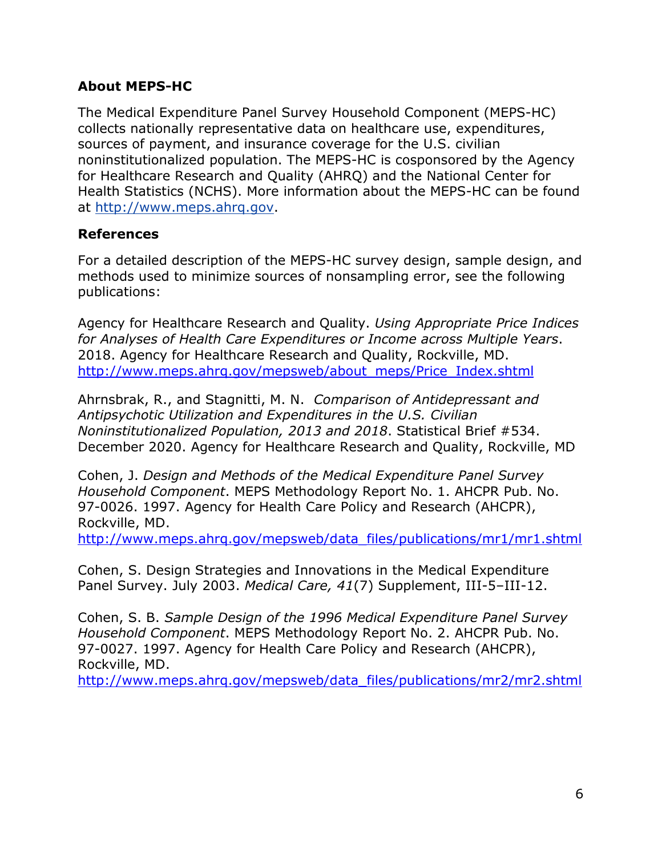# **About MEPS-HC**

The Medical Expenditure Panel Survey Household Component (MEPS-HC) collects nationally representative data on healthcare use, expenditures, sources of payment, and insurance coverage for the U.S. civilian noninstitutionalized population. The MEPS-HC is cosponsored by the Agency for Healthcare Research and Quality (AHRQ) and the National Center for Health Statistics (NCHS). More information about the MEPS-HC can be found at [http://www.meps.ahrq.gov.](http://www.meps.ahrq.gov/)

# **References**

For a detailed description of the MEPS-HC survey design, sample design, and methods used to minimize sources of nonsampling error, see the following publications:

Agency for Healthcare Research and Quality. *Using Appropriate Price Indices for Analyses of Health Care Expenditures or Income across Multiple Years*. 2018. Agency for Healthcare Research and Quality, Rockville, MD. [http://www.meps.ahrq.gov/mepsweb/about\\_meps/Price\\_Index.shtml](http://www.meps.ahrq.gov/mepsweb/about_meps/Price_Index.shtml) 

Ahrnsbrak, R., and Stagnitti, M. N. *Comparison of Antidepressant and Antipsychotic Utilization and Expenditures in the U.S. Civilian Noninstitutionalized Population, 2013 and 2018*. Statistical Brief #534. December 2020. Agency for Healthcare Research and Quality, Rockville, MD

Cohen, J. *Design and Methods of the Medical Expenditure Panel Survey Household Component*. MEPS Methodology Report No. 1. AHCPR Pub. No. 97-0026. 1997. Agency for Health Care Policy and Research (AHCPR), Rockville, MD.

[http://www.meps.ahrq.gov/mepsweb/data\\_files/publications/mr1/mr1.shtml](http://www.meps.ahrq.gov/mepsweb/data_files/publications/mr1/mr1.shtml)

Cohen, S. Design Strategies and Innovations in the Medical Expenditure Panel Survey. July 2003. *Medical Care, 41*(7) Supplement, III-5–III-12.

Cohen, S. B. *Sample Design of the 1996 Medical Expenditure Panel Survey Household Component*. MEPS Methodology Report No. 2. AHCPR Pub. No. 97-0027. 1997. Agency for Health Care Policy and Research (AHCPR), Rockville, MD.

[http://www.meps.ahrq.gov/mepsweb/data\\_files/publications/mr2/mr2.shtml](http://www.meps.ahrq.gov/mepsweb/data_files/publications/mr2/mr2.shtml)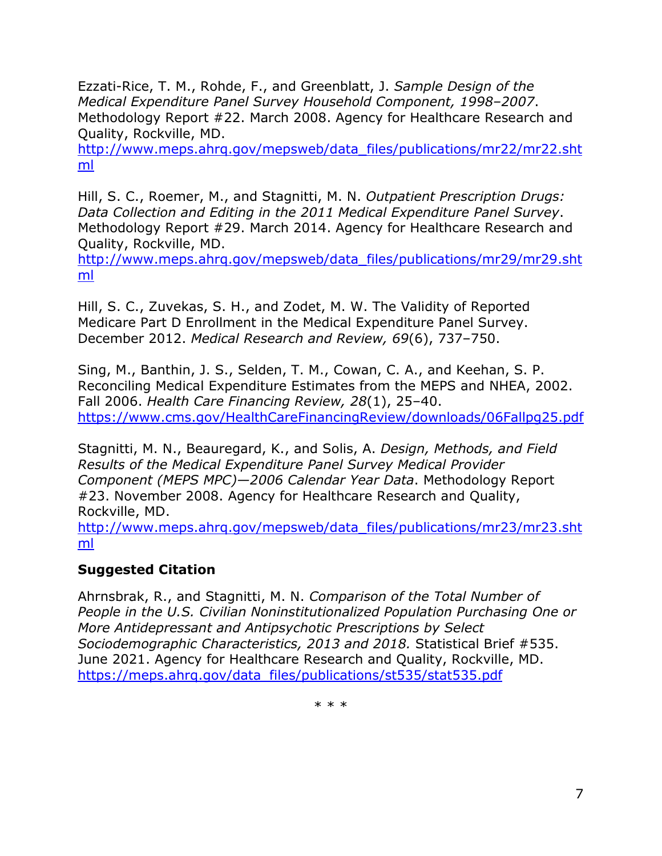Ezzati-Rice, T. M., Rohde, F., and Greenblatt, J. *Sample Design of the Medical Expenditure Panel Survey Household Component, 1998–2007*. Methodology Report #22. March 2008. Agency for Healthcare Research and Quality, Rockville, MD.

[http://www.meps.ahrq.gov/mepsweb/data\\_files/publications/mr22/mr22.sht](http://www.meps.ahrq.gov/mepsweb/data_files/publications/mr22/mr22.shtml) [ml](http://www.meps.ahrq.gov/mepsweb/data_files/publications/mr22/mr22.shtml)

Hill, S. C., Roemer, M., and Stagnitti, M. N. *Outpatient Prescription Drugs: Data Collection and Editing in the 2011 Medical Expenditure Panel Survey*. Methodology Report #29. March 2014. Agency for Healthcare Research and Quality, Rockville, MD.

[http://www.meps.ahrq.gov/mepsweb/data\\_files/publications/mr29/mr29.sht](http://www.meps.ahrq.gov/mepsweb/data_files/publications/mr29/mr29.shtml) [ml](http://www.meps.ahrq.gov/mepsweb/data_files/publications/mr29/mr29.shtml)

Hill, S. C., Zuvekas, S. H., and Zodet, M. W. The Validity of Reported Medicare Part D Enrollment in the Medical Expenditure Panel Survey. December 2012. *Medical Research and Review, 69*(6), 737–750.

Sing, M., Banthin, J. S., Selden, T. M., Cowan, C. A., and Keehan, S. P. Reconciling Medical Expenditure Estimates from the MEPS and NHEA, 2002. Fall 2006. *Health Care Financing Review, 28*(1), 25–40. <https://www.cms.gov/HealthCareFinancingReview/downloads/06Fallpg25.pdf>

Stagnitti, M. N., Beauregard, K., and Solis, A. *Design, Methods, and Field Results of the Medical Expenditure Panel Survey Medical Provider Component (MEPS MPC)—2006 Calendar Year Data*. Methodology Report #23. November 2008. Agency for Healthcare Research and Quality, Rockville, MD.

[http://www.meps.ahrq.gov/mepsweb/data\\_files/publications/mr23/mr23.sht](http://www.meps.ahrq.gov/mepsweb/data_files/publications/mr23/mr23.shtml) [ml](http://www.meps.ahrq.gov/mepsweb/data_files/publications/mr23/mr23.shtml)

# **Suggested Citation**

Ahrnsbrak, R., and Stagnitti, M. N. *Comparison of the Total Number of People in the U.S. Civilian Noninstitutionalized Population Purchasing One or More Antidepressant and Antipsychotic Prescriptions by Select Sociodemographic Characteristics, 2013 and 2018.* Statistical Brief #535. June 2021. Agency for Healthcare Research and Quality, Rockville, MD. [https://meps.ahrq.gov/data\\_files/publications/st535/stat535.pdf](https://meps.ahrq.gov/data_files/publications/st535/stat535.pdf)

\* \* \*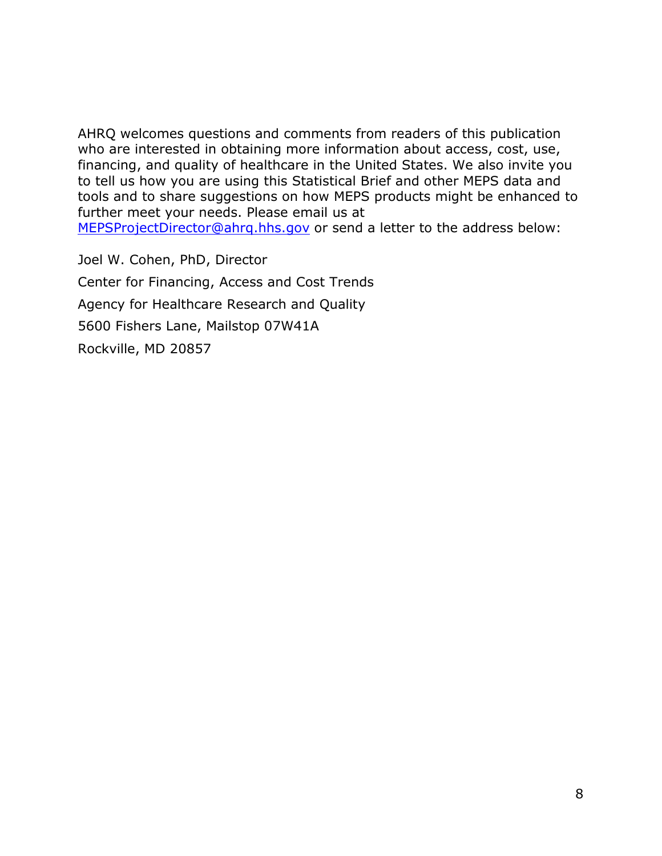AHRQ welcomes questions and comments from readers of this publication who are interested in obtaining more information about access, cost, use, financing, and quality of healthcare in the United States. We also invite you to tell us how you are using this Statistical Brief and other MEPS data and tools and to share suggestions on how MEPS products might be enhanced to further meet your needs. Please email us at

[MEPSProjectDirector@ahrq.hhs.gov](mailto:MEPSProjectDirector@ahrq.hhs.gov) or send a letter to the address below:

Joel W. Cohen, PhD, Director Center for Financing, Access and Cost Trends Agency for Healthcare Research and Quality 5600 Fishers Lane, Mailstop 07W41A Rockville, MD 20857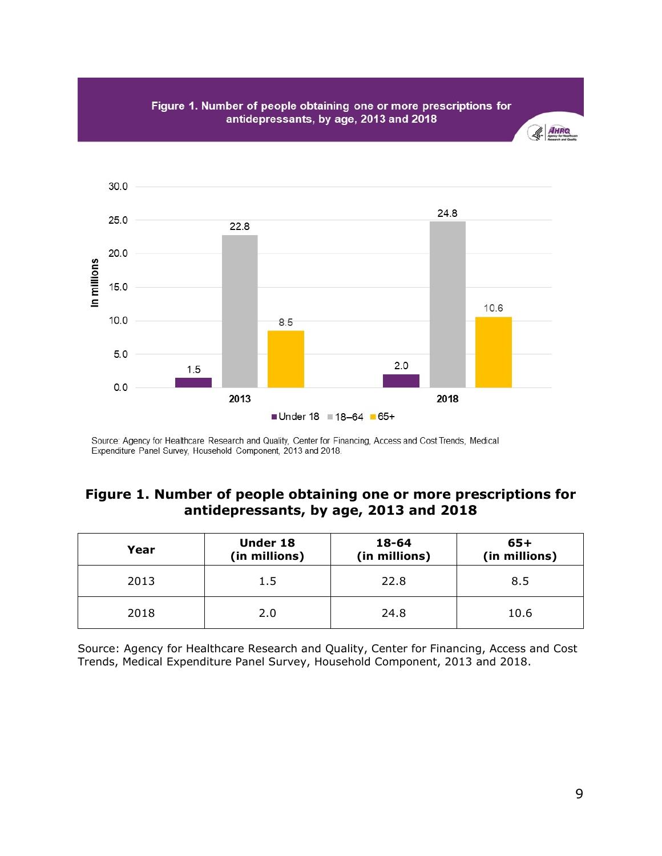

Figure 1. Number of people obtaining one or more prescriptions for antidepressants, by age, 2013 and 2018

 $A$ HARQ

Source: Agency for Healthcare Research and Quality, Center for Financing, Access and Cost Trends, Medical Expenditure Panel Survey, Household Component, 2013 and 2018.

# **Figure 1. Number of people obtaining one or more prescriptions for antidepressants, by age, 2013 and 2018**

| Year | <b>Under 18</b><br>(in millions) | 18-64<br>(in millions) | $65+$<br>(in millions) |
|------|----------------------------------|------------------------|------------------------|
| 2013 | 1.5                              | 22.8                   | 8.5                    |
| 2018 | 2.0                              | 24.8                   | 10.6                   |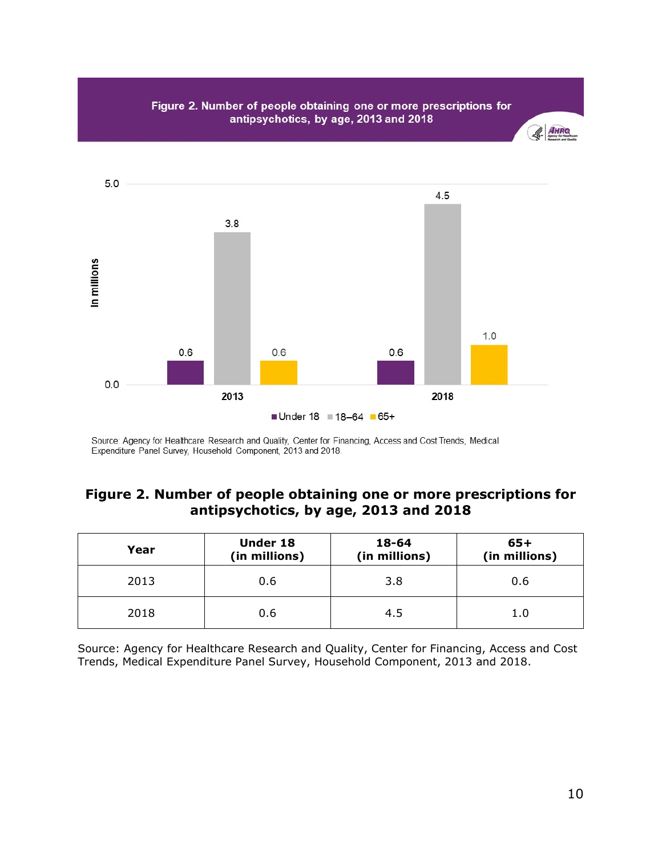

### **Figure 2. Number of people obtaining one or more prescriptions for antipsychotics, by age, 2013 and 2018**

| Year | <b>Under 18</b><br>(in millions) | 18-64<br>(in millions) | $65+$<br>(in millions) |
|------|----------------------------------|------------------------|------------------------|
| 2013 | 0.6                              | 3.8                    | 0.6                    |
| 2018 | 0.6                              | 4.5                    | 1.0                    |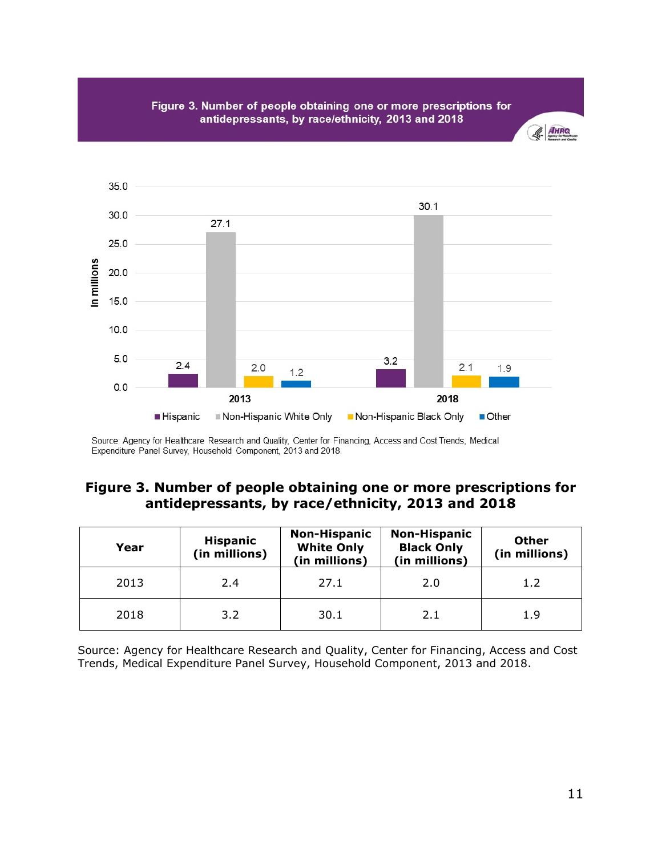



#### **Figure 3. Number of people obtaining one or more prescriptions for antidepressants, by race/ethnicity, 2013 and 2018**

| Year | <b>Hispanic</b><br>(in millions) | <b>Non-Hispanic</b><br><b>White Only</b><br>(in millions) | <b>Non-Hispanic</b><br><b>Black Only</b><br>(in millions) | <b>Other</b><br>(in millions) |
|------|----------------------------------|-----------------------------------------------------------|-----------------------------------------------------------|-------------------------------|
| 2013 | 2.4                              | 27.1                                                      | 2.0                                                       | 1.2                           |
| 2018 | 3.2                              | 30.1                                                      | 2.1                                                       | 1.9                           |

Source: Agency for Healthcare Research and Quality, Center for Financing, Access and Cost Trends, Medical Expenditure Panel Survey, Household Component, 2013 and 2018.

& AHRO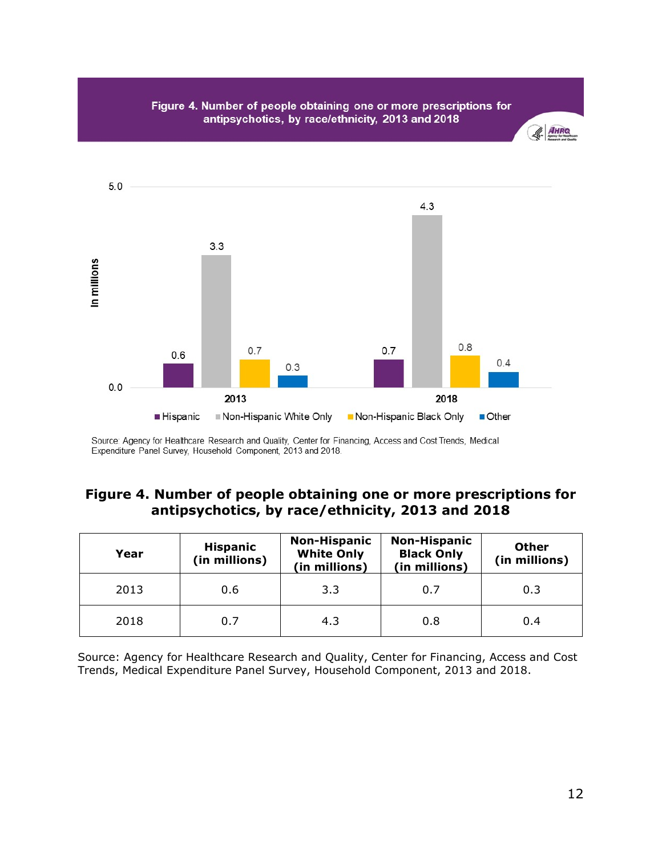

# **Figure 4. Number of people obtaining one or more prescriptions for antipsychotics, by race/ethnicity, 2013 and 2018**

| Year | <b>Hispanic</b><br>(in millions) | <b>Non-Hispanic</b><br><b>White Only</b><br>(in millions) | <b>Non-Hispanic</b><br><b>Black Only</b><br>(in millions) | <b>Other</b><br>(in millions) |
|------|----------------------------------|-----------------------------------------------------------|-----------------------------------------------------------|-------------------------------|
| 2013 | 0.6                              | 3.3                                                       | 0.7                                                       | 0.3                           |
| 2018 | 0.7                              | 4.3                                                       | 0.8                                                       | 0.4                           |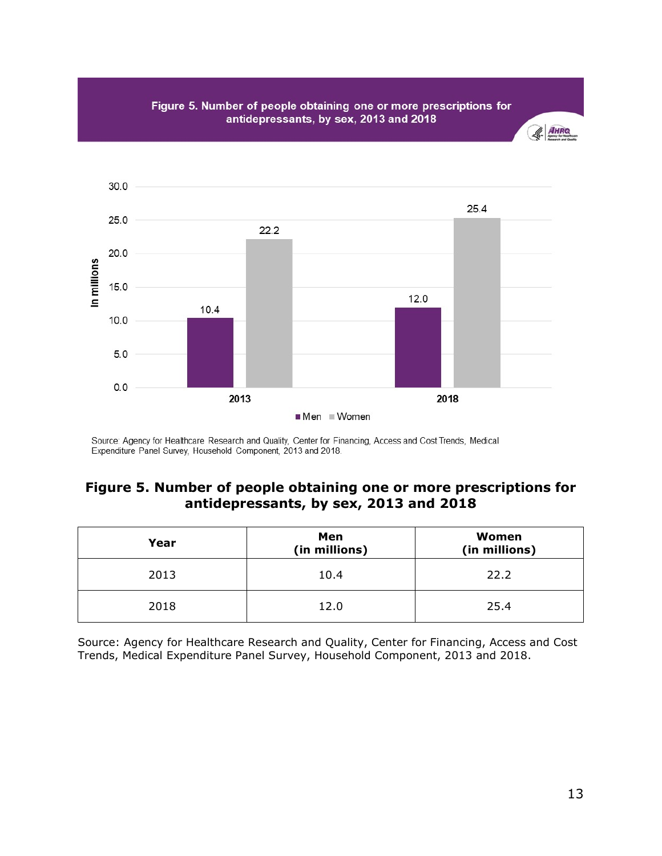Figure 5. Number of people obtaining one or more prescriptions for antidepressants, by sex, 2013 and 2018



### **Figure 5. Number of people obtaining one or more prescriptions for antidepressants, by sex, 2013 and 2018**

| Year | Men<br>(in millions) | Women<br>(in millions) |
|------|----------------------|------------------------|
| 2013 | 10.4                 | 22.2                   |
| 2018 | 12.0                 | 25.4                   |

Source: Agency for Healthcare Research and Quality, Center for Financing, Access and Cost Trends, Medical Expenditure Panel Survey, Household Component, 2013 and 2018.

& AHRO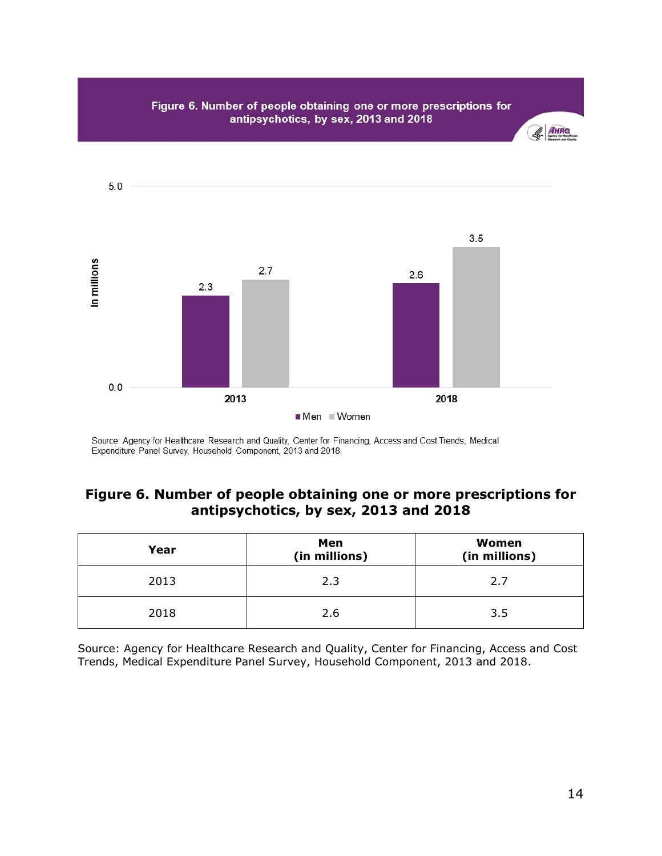

### **Figure 6. Number of people obtaining one or more prescriptions for antipsychotics, by sex, 2013 and 2018**

| Year | Men<br>(in millions) | Women<br>(in millions) |
|------|----------------------|------------------------|
| 2013 | 2.3                  | 2.7                    |
| 2018 | 2.6                  | 3.5                    |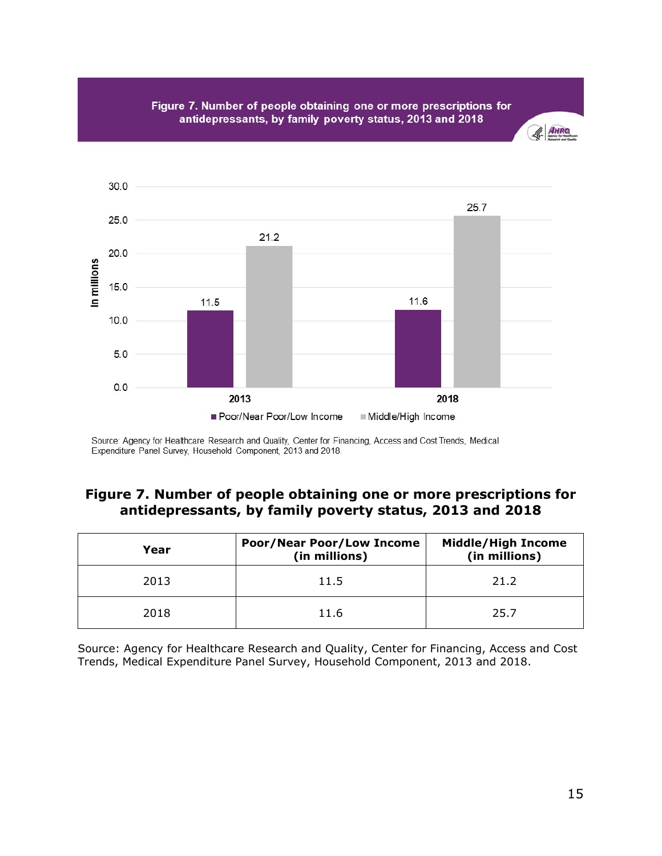Figure 7. Number of people obtaining one or more prescriptions for antidepressants, by family poverty status, 2013 and 2018





Source: Agency for Healthcare Research and Quality, Center for Financing, Access and Cost Trends, Medical Expenditure Panel Survey, Household Component, 2013 and 2018.

### **Figure 7. Number of people obtaining one or more prescriptions for antidepressants, by family poverty status, 2013 and 2018**

| Year | <b>Poor/Near Poor/Low Income</b><br>(in millions) | <b>Middle/High Income</b><br>(in millions) |
|------|---------------------------------------------------|--------------------------------------------|
| 2013 | 11.5                                              | 21.2                                       |
| 2018 | 11.6                                              | 25.7                                       |